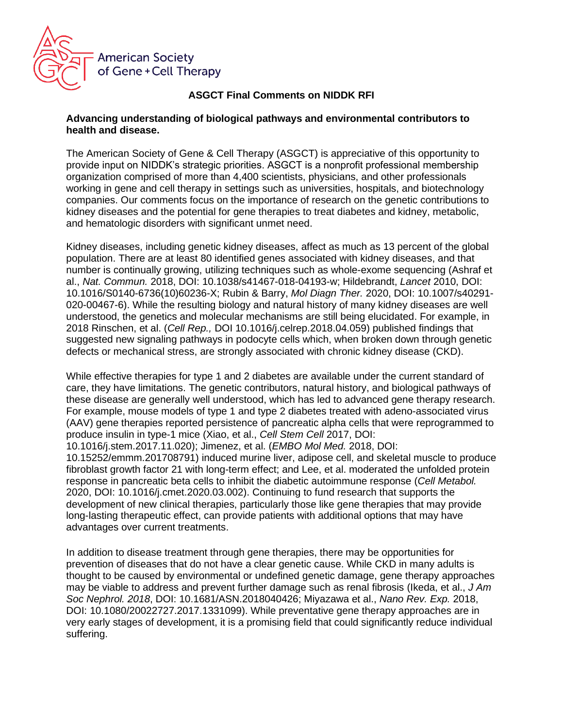

## **ASGCT Final Comments on NIDDK RFI**

## **Advancing understanding of biological pathways and environmental contributors to health and disease.**

The American Society of Gene & Cell Therapy (ASGCT) is appreciative of this opportunity to provide input on NIDDK's strategic priorities. ASGCT is a nonprofit professional membership organization comprised of more than 4,400 scientists, physicians, and other professionals working in gene and cell therapy in settings such as universities, hospitals, and biotechnology companies. Our comments focus on the importance of research on the genetic contributions to kidney diseases and the potential for gene therapies to treat diabetes and kidney, metabolic, and hematologic disorders with significant unmet need.

Kidney diseases, including genetic kidney diseases, affect as much as 13 percent of the global population. There are at least 80 identified genes associated with kidney diseases, and that number is continually growing, utilizing techniques such as whole-exome sequencing (Ashraf et al., *Nat. Commun.* 2018, DOI: 10.1038/s41467-018-04193-w; Hildebrandt, *Lancet* 2010, DOI: 10.1016/S0140-6736(10)60236-X; Rubin & Barry, *Mol Diagn Ther.* 2020, DOI: 10.1007/s40291- 020-00467-6). While the resulting biology and natural history of many kidney diseases are well understood, the genetics and molecular mechanisms are still being elucidated. For example, in 2018 Rinschen, et al. (*Cell Rep.,* DOI 10.1016/j.celrep.2018.04.059) published findings that suggested new signaling pathways in podocyte cells which, when broken down through genetic defects or mechanical stress, are strongly associated with chronic kidney disease (CKD).

While effective therapies for type 1 and 2 diabetes are available under the current standard of care, they have limitations. The genetic contributors, natural history, and biological pathways of these disease are generally well understood, which has led to advanced gene therapy research. For example, mouse models of type 1 and type 2 diabetes treated with adeno-associated virus (AAV) gene therapies reported persistence of pancreatic alpha cells that were reprogrammed to produce insulin in type-1 mice (Xiao, et al., *Cell Stem Cell* 2017, DOI:

10.1016/j.stem.2017.11.020); Jimenez, et al. (*EMBO Mol Med.* 2018, DOI:

10.15252/emmm.201708791) induced murine liver, adipose cell, and skeletal muscle to produce fibroblast growth factor 21 with long-term effect; and Lee, et al. moderated the unfolded protein response in pancreatic beta cells to inhibit the diabetic autoimmune response (*Cell Metabol.* 2020, DOI: 10.1016/j.cmet.2020.03.002). Continuing to fund research that supports the development of new clinical therapies, particularly those like gene therapies that may provide long-lasting therapeutic effect, can provide patients with additional options that may have advantages over current treatments.

In addition to disease treatment through gene therapies, there may be opportunities for prevention of diseases that do not have a clear genetic cause. While CKD in many adults is thought to be caused by environmental or undefined genetic damage, gene therapy approaches may be viable to address and prevent further damage such as renal fibrosis (Ikeda, et al., *J Am Soc Nephrol. 2018*, DOI: 10.1681/ASN.2018040426; Miyazawa et al., *Nano Rev. Exp.* 2018, DOI: 10.1080/20022727.2017.1331099). While preventative gene therapy approaches are in very early stages of development, it is a promising field that could significantly reduce individual suffering.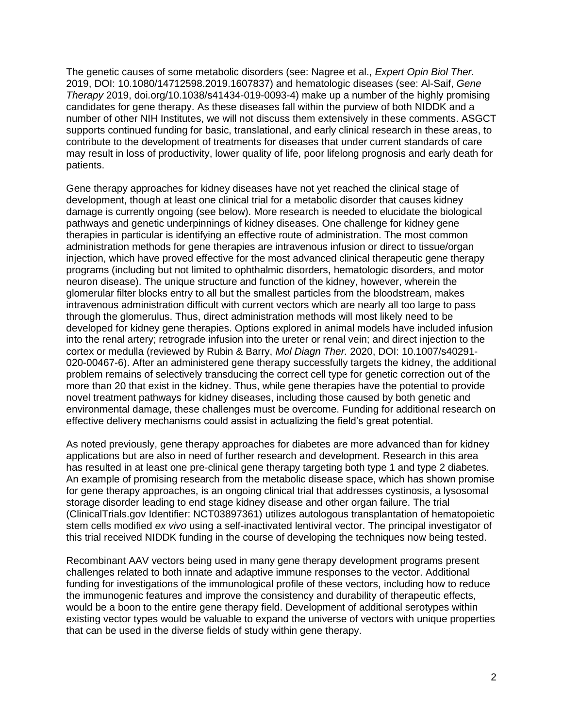The genetic causes of some metabolic disorders (see: Nagree et al., *Expert Opin Biol Ther.* 2019, DOI: 10.1080/14712598.2019.1607837) and hematologic diseases (see: Al-Saif, *Gene Therapy* 2019, doi.org/10.1038/s41434-019-0093-4) make up a number of the highly promising candidates for gene therapy. As these diseases fall within the purview of both NIDDK and a number of other NIH Institutes, we will not discuss them extensively in these comments. ASGCT supports continued funding for basic, translational, and early clinical research in these areas, to contribute to the development of treatments for diseases that under current standards of care may result in loss of productivity, lower quality of life, poor lifelong prognosis and early death for patients.

Gene therapy approaches for kidney diseases have not yet reached the clinical stage of development, though at least one clinical trial for a metabolic disorder that causes kidney damage is currently ongoing (see below). More research is needed to elucidate the biological pathways and genetic underpinnings of kidney diseases. One challenge for kidney gene therapies in particular is identifying an effective route of administration. The most common administration methods for gene therapies are intravenous infusion or direct to tissue/organ injection, which have proved effective for the most advanced clinical therapeutic gene therapy programs (including but not limited to ophthalmic disorders, hematologic disorders, and motor neuron disease). The unique structure and function of the kidney, however, wherein the glomerular filter blocks entry to all but the smallest particles from the bloodstream, makes intravenous administration difficult with current vectors which are nearly all too large to pass through the glomerulus. Thus, direct administration methods will most likely need to be developed for kidney gene therapies. Options explored in animal models have included infusion into the renal artery; retrograde infusion into the ureter or renal vein; and direct injection to the cortex or medulla (reviewed by Rubin & Barry, *Mol Diagn Ther.* 2020, DOI: 10.1007/s40291- 020-00467-6). After an administered gene therapy successfully targets the kidney, the additional problem remains of selectively transducing the correct cell type for genetic correction out of the more than 20 that exist in the kidney. Thus, while gene therapies have the potential to provide novel treatment pathways for kidney diseases, including those caused by both genetic and environmental damage, these challenges must be overcome. Funding for additional research on effective delivery mechanisms could assist in actualizing the field's great potential.

As noted previously, gene therapy approaches for diabetes are more advanced than for kidney applications but are also in need of further research and development. Research in this area has resulted in at least one pre-clinical gene therapy targeting both type 1 and type 2 diabetes. An example of promising research from the metabolic disease space, which has shown promise for gene therapy approaches, is an ongoing clinical trial that addresses cystinosis, a lysosomal storage disorder leading to end stage kidney disease and other organ failure. The trial (ClinicalTrials.gov Identifier: NCT03897361) utilizes autologous transplantation of hematopoietic stem cells modified *ex vivo* using a self-inactivated lentiviral vector. The principal investigator of this trial received NIDDK funding in the course of developing the techniques now being tested.

Recombinant AAV vectors being used in many gene therapy development programs present challenges related to both innate and adaptive immune responses to the vector. Additional funding for investigations of the immunological profile of these vectors, including how to reduce the immunogenic features and improve the consistency and durability of therapeutic effects, would be a boon to the entire gene therapy field. Development of additional serotypes within existing vector types would be valuable to expand the universe of vectors with unique properties that can be used in the diverse fields of study within gene therapy.